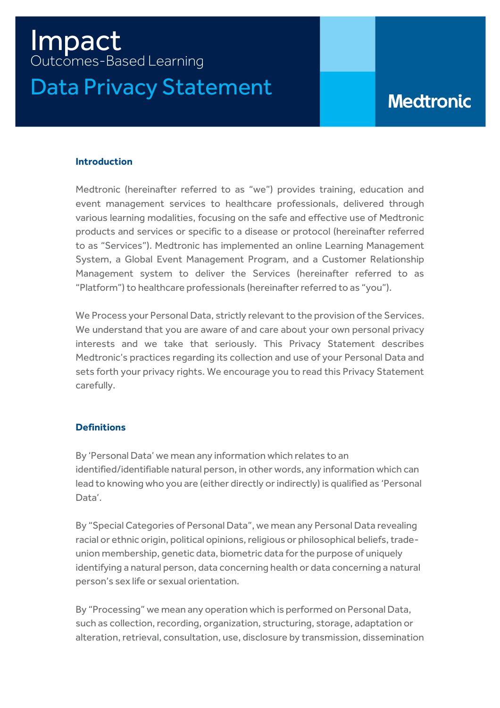# Impact Outcomes-Based Learning Data Privacy Statement

# **Medtronic**

# **Introduction**

Medtronic (hereinafter referred to as "we") provides training, education and event management services to healthcare professionals, delivered through various learning modalities, focusing on the safe and effective use of Medtronic products and services or specific to a disease or protocol (hereinafter referred to as "Services"). Medtronic has implemented an online Learning Management System, a Global Event Management Program, and a Customer Relationship Management system to deliver the Services (hereinafter referred to as "Platform") to healthcare professionals (hereinafter referred to as "you").

We Process your Personal Data, strictly relevant to the provision of the Services. We understand that you are aware of and care about your own personal privacy interests and we take that seriously. This Privacy Statement describes Medtronic's practices regarding its collection and use of your Personal Data and sets forth your privacy rights. We encourage you to read this Privacy Statement carefully.

# **Definitions**

By 'Personal Data' we mean any information which relates to an identified/identifiable natural person, in other words, any information which can lead to knowing who you are (either directly or indirectly) is qualified as 'Personal Data'.

By "Special Categories of Personal Data", we mean any Personal Data revealing racial or ethnic origin, political opinions, religious or philosophical beliefs, tradeunion membership, genetic data, biometric data for the purpose of uniquely identifying a natural person, data concerning health or data concerning a natural person's sex life or sexual orientation.

By "Processing" we mean any operation which is performed on Personal Data, such as collection, recording, organization, structuring, storage, adaptation or alteration, retrieval, consultation, use, disclosure by transmission, dissemination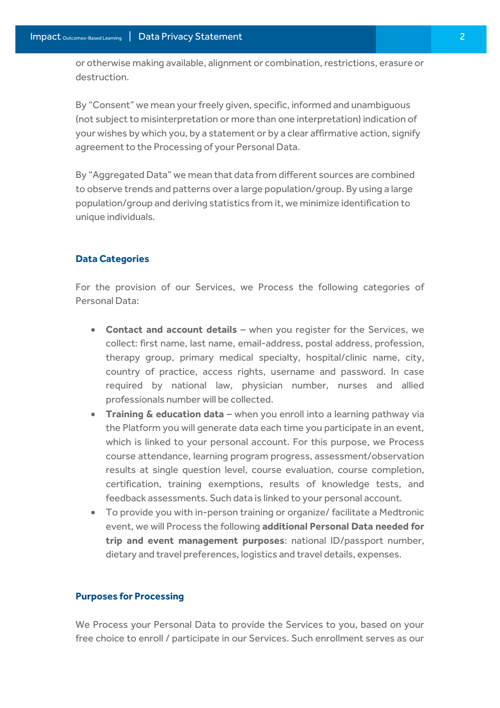or otherwise making available, alignment or combination, restrictions, erasure or destruction.

By "Consent" we mean your freely given, specific, informed and unambiguous (not subject to misinterpretation or more than one interpretation) indication of your wishes by which you, by a statement or by a clear affirmative action, signify agreement to the Processing of your Personal Data.

By "Aggregated Data" we mean that data from different sources are combined to observe trends and patterns over a large population/group. By using a large population/group and deriving statistics from it, we minimize identification to unique individuals.

### **Data Categories**

For the provision of our Services, we Process the following categories of Personal Data:

- **Contact and account details** when you register for the Services, we collect: first name, last name, email-address, postal address, profession, therapy group, primary medical specialty, hospital/clinic name, city, country of practice, access rights, username and password. In case required by national law, physician number, nurses and allied professionals number will be collected.
- **Training & education data** when you enroll into a learning pathway via the Platform you will generate data each time you participate in an event, which is linked to your personal account. For this purpose, we Process course attendance, learning program progress, assessment/observation results at single question level, course evaluation, course completion, certification, training exemptions, results of knowledge tests, and feedback assessments. Such data is linked to your personal account.
- To provide you with in-person training or organize/ facilitate a Medtronic event, we will Process the following **additional Personal Data needed for trip and event management purposes**: national ID/passport number, dietary and travel preferences, logistics and travel details, expenses.

# **Purposes for Processing**

We Process your Personal Data to provide the Services to you, based on your free choice to enroll / participate in our Services. Such enrollment serves as our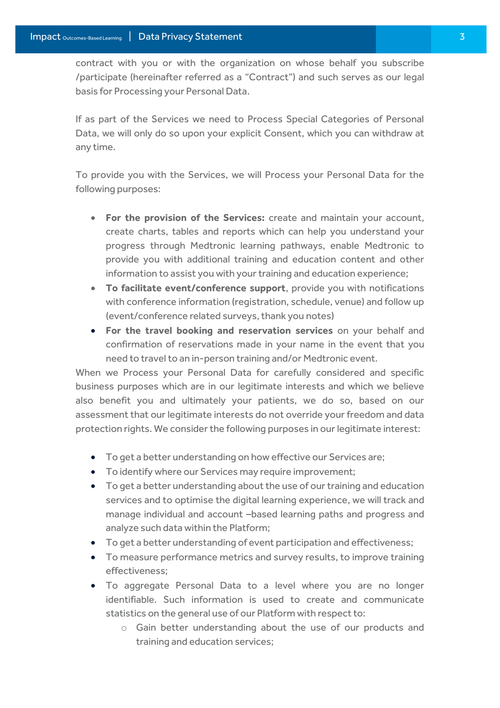contract with you or with the organization on whose behalf you subscribe /participate (hereinafter referred as a "Contract") and such serves as our legal basis for Processing your Personal Data.

If as part of the Services we need to Process Special Categories of Personal Data, we will only do so upon your explicit Consent, which you can withdraw at any time.

To provide you with the Services, we will Process your Personal Data for the following purposes:

- **For the provision of the Services:** create and maintain your account, create charts, tables and reports which can help you understand your progress through Medtronic learning pathways, enable Medtronic to provide you with additional training and education content and other information to assist you with your training and education experience;
- **To facilitate event/conference support**, provide you with notifications with conference information (registration, schedule, venue) and follow up (event/conference related surveys, thank you notes)
- **For the travel booking and reservation services** on your behalf and confirmation of reservations made in your name in the event that you need to travel to an in-person training and/or Medtronic event.

When we Process your Personal Data for carefully considered and specific business purposes which are in our legitimate interests and which we believe also benefit you and ultimately your patients, we do so, based on our assessment that our legitimate interests do not override your freedom and data protection rights. We consider the following purposes in our legitimate interest:

- To get a better understanding on how effective our Services are;
- To identify where our Services may require improvement;
- To get a better understanding about the use of our training and education services and to optimise the digital learning experience, we will track and manage individual and account –based learning paths and progress and analyze such data within the Platform;
- To get a better understanding of event participation and effectiveness;
- To measure performance metrics and survey results, to improve training effectiveness;
- To aggregate Personal Data to a level where you are no longer identifiable. Such information is used to create and communicate statistics on the general use of our Platform with respect to:
	- o Gain better understanding about the use of our products and training and education services;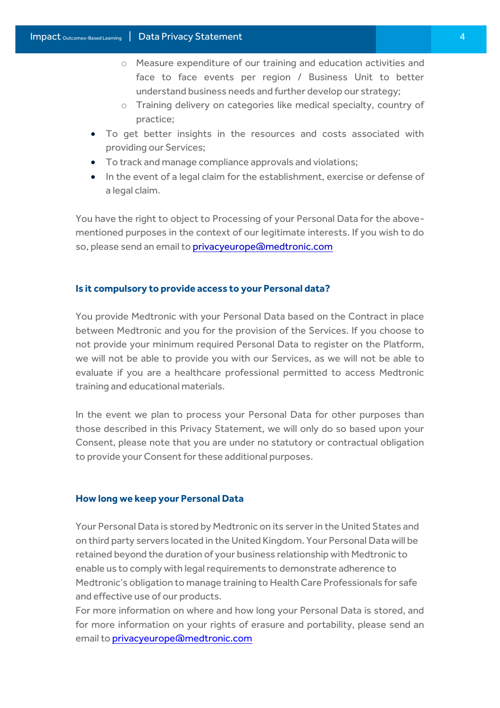- o Measure expenditure of our training and education activities and face to face events per region / Business Unit to better understand business needs and further develop our strategy;
- o Training delivery on categories like medical specialty, country of practice;
- To get better insights in the resources and costs associated with providing our Services;
- To track and manage compliance approvals and violations;
- In the event of a legal claim for the establishment, exercise or defense of a legal claim.

You have the right to object to Processing of your Personal Data for the abovementioned purposes in the context of our legitimate interests. If you wish to do so, please send an email t[o privacyeurope@medtronic.com](mailto:privacyeurope@medtronic.com)

#### **Is it compulsory to provide access to your Personal data?**

You provide Medtronic with your Personal Data based on the Contract in place between Medtronic and you for the provision of the Services. If you choose to not provide your minimum required Personal Data to register on the Platform, we will not be able to provide you with our Services, as we will not be able to evaluate if you are a healthcare professional permitted to access Medtronic training and educational materials.

In the event we plan to process your Personal Data for other purposes than those described in this Privacy Statement, we will only do so based upon your Consent, please note that you are under no statutory or contractual obligation to provide your Consent for these additional purposes.

#### **How long we keep your Personal Data**

Your Personal Data is stored by Medtronic on its server in the United States and on third party servers located in the United Kingdom. Your Personal Data will be retained beyond the duration of your business relationship with Medtronic to enable us to comply with legal requirements to demonstrate adherence to Medtronic's obligation to manage training to Health Care Professionals for safe and effective use of our products.

For more information on where and how long your Personal Data is stored, and for more information on your rights of erasure and portability, please send an email t[o privacyeurope@medtronic.com](mailto:privacyeurope@medtronic.com)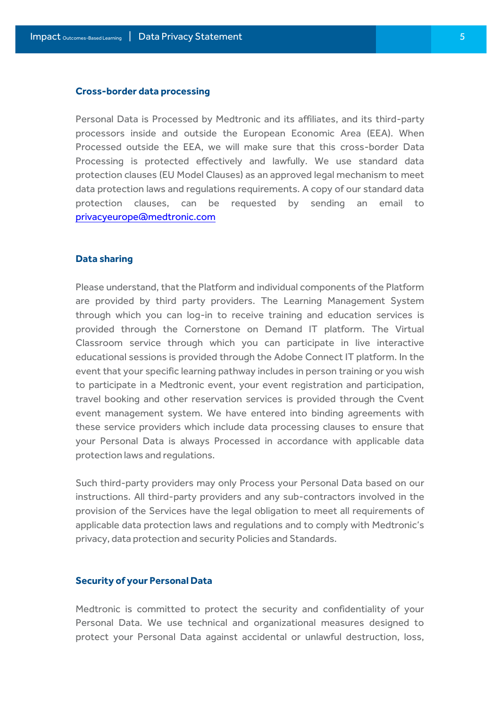#### **Cross-border data processing**

Personal Data is Processed by Medtronic and its affiliates, and its third-party processors inside and outside the European Economic Area (EEA). When Processed outside the EEA, we will make sure that this cross-border Data Processing is protected effectively and lawfully. We use standard data protection clauses (EU Model Clauses) as an approved legal mechanism to meet data protection laws and regulations requirements. A copy of our standard data protection clauses, can be requested by sending an email to [privacyeurope@medtronic.com](mailto:privacyeurope@medtronic.com)

#### **Data sharing**

Please understand, that the Platform and individual components of the Platform are provided by third party providers. The Learning Management System through which you can log-in to receive training and education services is provided through the Cornerstone on Demand IT platform. The Virtual Classroom service through which you can participate in live interactive educational sessions is provided through the Adobe Connect IT platform. In the event that your specific learning pathway includes in person training or you wish to participate in a Medtronic event, your event registration and participation, travel booking and other reservation services is provided through the Cvent event management system. We have entered into binding agreements with these service providers which include data processing clauses to ensure that your Personal Data is always Processed in accordance with applicable data protection laws and regulations.

Such third-party providers may only Process your Personal Data based on our instructions. All third-party providers and any sub-contractors involved in the provision of the Services have the legal obligation to meet all requirements of applicable data protection laws and regulations and to comply with Medtronic's privacy, data protection and security Policies and Standards.

#### **Security of your Personal Data**

Medtronic is committed to protect the security and confidentiality of your Personal Data. We use technical and organizational measures designed to protect your Personal Data against accidental or unlawful destruction, loss,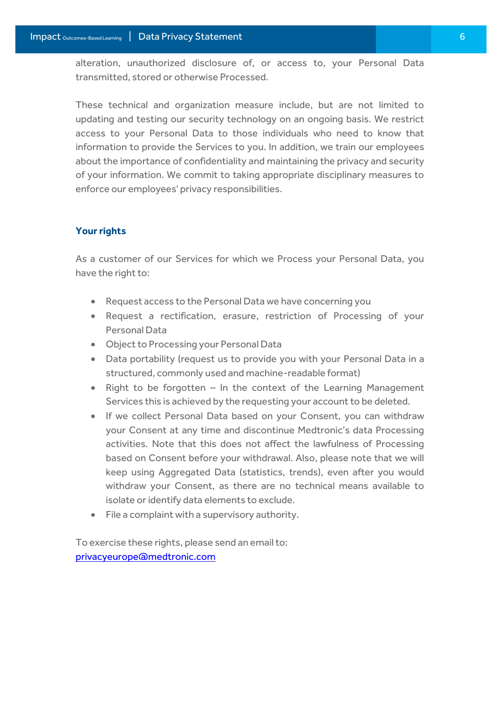alteration, unauthorized disclosure of, or access to, your Personal Data transmitted, stored or otherwise Processed.

These technical and organization measure include, but are not limited to updating and testing our security technology on an ongoing basis. We restrict access to your Personal Data to those individuals who need to know that information to provide the Services to you. In addition, we train our employees about the importance of confidentiality and maintaining the privacy and security of your information. We commit to taking appropriate disciplinary measures to enforce our employees' privacy responsibilities.

# **Your rights**

As a customer of our Services for which we Process your Personal Data, you have the right to:

- Request access to the Personal Data we have concerning you
- Request a rectification, erasure, restriction of Processing of your Personal Data
- Object to Processing your Personal Data
- Data portability (request us to provide you with your Personal Data in a structured, commonly used and machine-readable format)
- Right to be forgotten In the context of the Learning Management Services this is achieved by the requesting your account to be deleted.
- If we collect Personal Data based on your Consent, you can withdraw your Consent at any time and discontinue Medtronic's data Processing activities. Note that this does not affect the lawfulness of Processing based on Consent before your withdrawal. Also, please note that we will keep using Aggregated Data (statistics, trends), even after you would withdraw your Consent, as there are no technical means available to isolate or identify data elements to exclude.
- File a complaint with a supervisory authority.

To exercise these rights, please send an email to: [privacyeurope@medtronic.com](mailto:privacyeurope@medtronic.com)